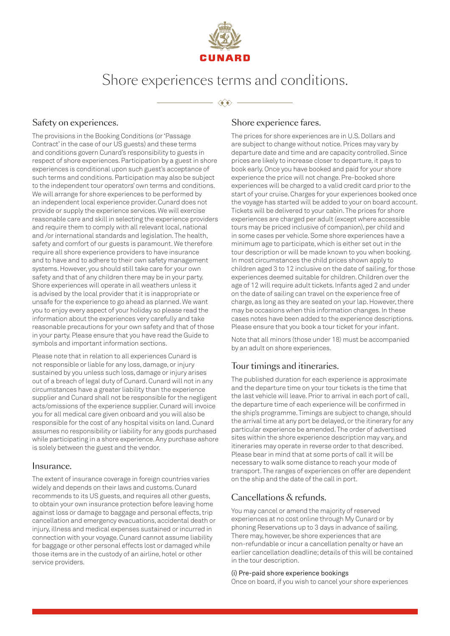

# Shore experiences terms and conditions.

≪

## Safety on experiences.

The provisions in the Booking Conditions (or 'Passage Contract' in the case of our US guests) and these terms and conditions govern Cunard's responsibility to guests in respect of shore experiences. Participation by a guest in shore experiences is conditional upon such guest's acceptance of such terms and conditions. Participation may also be subject to the independent tour operators' own terms and conditions. We will arrange for shore experiences to be performed by an independent local experience provider. Cunard does not provide or supply the experience services. We will exercise reasonable care and skill in selecting the experience providers and require them to comply with all relevant local, national and /or international standards and legislation. The health, safety and comfort of our guests is paramount. We therefore require all shore experience providers to have insurance and to have and to adhere to their own safety management systems. However, you should still take care for your own safety and that of any children there may be in your party. Shore experiences will operate in all weathers unless it is advised by the local provider that it is inappropriate or unsafe for the experience to go ahead as planned. We want you to enjoy every aspect of your holiday so please read the information about the experiences very carefully and take reasonable precautions for your own safety and that of those in your party. Please ensure that you have read the Guide to symbols and important information sections.

Please note that in relation to all experiences Cunard is not responsible or liable for any loss, damage, or injury sustained by you unless such loss, damage or injury arises out of a breach of legal duty of Cunard. Cunard will not in any circumstances have a greater liability than the experience supplier and Cunard shall not be responsible for the negligent acts/omissions of the experience supplier. Cunard will invoice you for all medical care given onboard and you will also be responsible for the cost of any hospital visits on land. Cunard assumes no responsibility or liability for any goods purchased while participating in a shore experience. Any purchase ashore is solely between the guest and the vendor.

## Insurance.

The extent of insurance coverage in foreign countries varies widely and depends on their laws and customs. Cunard recommends to its US guests, and requires all other guests, to obtain your own insurance protection before leaving home against loss or damage to baggage and personal effects, trip cancellation and emergency evacuations, accidental death or injury, illness and medical expenses sustained or incurred in connection with your voyage. Cunard cannot assume liability for baggage or other personal effects lost or damaged while those items are in the custody of an airline, hotel or other service providers.

## Shore experience fares.

The prices for shore experiences are in U.S. Dollars and are subject to change without notice. Prices may vary by departure date and time and are capacity controlled. Since prices are likely to increase closer to departure, it pays to book early. Once you have booked and paid for your shore experience the price will not change. Pre-booked shore experiences will be charged to a valid credit card prior to the start of your cruise. Charges for your experiences booked once the voyage has started will be added to your on board account. Tickets will be delivered to your cabin. The prices for shore experiences are charged per adult (except where accessible tours may be priced inclusive of companion), per child and in some cases per vehicle. Some shore experiences have a minimum age to participate, which is either set out in the tour description or will be made known to you when booking. In most circumstances the child prices shown apply to children aged 3 to 12 inclusive on the date of sailing, for those experiences deemed suitable for children. Children over the age of 12 will require adult tickets. Infants aged 2 and under on the date of sailing can travel on the experience free of charge, as long as they are seated on your lap. However, there may be occasions when this information changes. In these cases notes have been added to the experience descriptions. Please ensure that you book a tour ticket for your infant.

Note that all minors (those under 18) must be accompanied by an adult on shore experiences.

# Tour timings and itineraries.

The published duration for each experience is approximate and the departure time on your tour tickets is the time that the last vehicle will leave. Prior to arrival in each port of call, the departure time of each experience will be confirmed in the ship's programme. Timings are subject to change, should the arrival time at any port be delayed, or the itinerary for any particular experience be amended. The order of advertised sites within the shore experience description may vary, and itineraries may operate in reverse order to that described. Please bear in mind that at some ports of call it will be necessary to walk some distance to reach your mode of transport. The ranges of experiences on offer are dependent on the ship and the date of the call in port.

# Cancellations & refunds.

You may cancel or amend the majority of reserved experiences at no cost online through My Cunard or by phoning Reservations up to 3 days in advance of sailing. There may, however, be shore experiences that are non-refundable or incur a cancellation penalty or have an earlier cancellation deadline; details of this will be contained in the tour description.

#### (i) Pre-paid shore experience bookings

Once on board, if you wish to cancel your shore experiences